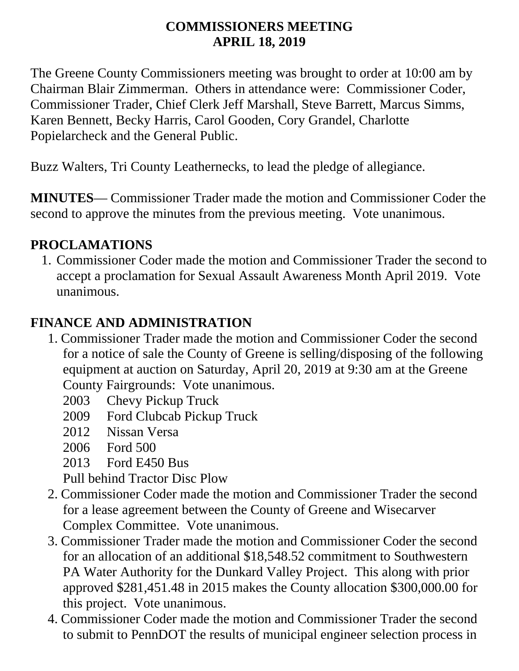#### **COMMISSIONERS MEETING APRIL 18, 2019**

The Greene County Commissioners meeting was brought to order at 10:00 am by Chairman Blair Zimmerman. Others in attendance were: Commissioner Coder, Commissioner Trader, Chief Clerk Jeff Marshall, Steve Barrett, Marcus Simms, Karen Bennett, Becky Harris, Carol Gooden, Cory Grandel, Charlotte Popielarcheck and the General Public.

Buzz Walters, Tri County Leathernecks, to lead the pledge of allegiance.

**MINUTES**— Commissioner Trader made the motion and Commissioner Coder the second to approve the minutes from the previous meeting. Vote unanimous.

#### **PROCLAMATIONS**

1. Commissioner Coder made the motion and Commissioner Trader the second to accept a proclamation for Sexual Assault Awareness Month April 2019. Vote unanimous.

### **FINANCE AND ADMINISTRATION**

- 1. Commissioner Trader made the motion and Commissioner Coder the second for a notice of sale the County of Greene is selling/disposing of the following equipment at auction on Saturday, April 20, 2019 at 9:30 am at the Greene County Fairgrounds: Vote unanimous.
	- 2003 Chevy Pickup Truck
	- 2009 Ford Clubcab Pickup Truck
	- 2012 Nissan Versa
	- 2006 Ford 500
	- 2013 Ford E450 Bus

Pull behind Tractor Disc Plow

- 2. Commissioner Coder made the motion and Commissioner Trader the second for a lease agreement between the County of Greene and Wisecarver Complex Committee. Vote unanimous.
- 3. Commissioner Trader made the motion and Commissioner Coder the second for an allocation of an additional \$18,548.52 commitment to Southwestern PA Water Authority for the Dunkard Valley Project. This along with prior approved \$281,451.48 in 2015 makes the County allocation \$300,000.00 for this project. Vote unanimous.
- 4. Commissioner Coder made the motion and Commissioner Trader the second to submit to PennDOT the results of municipal engineer selection process in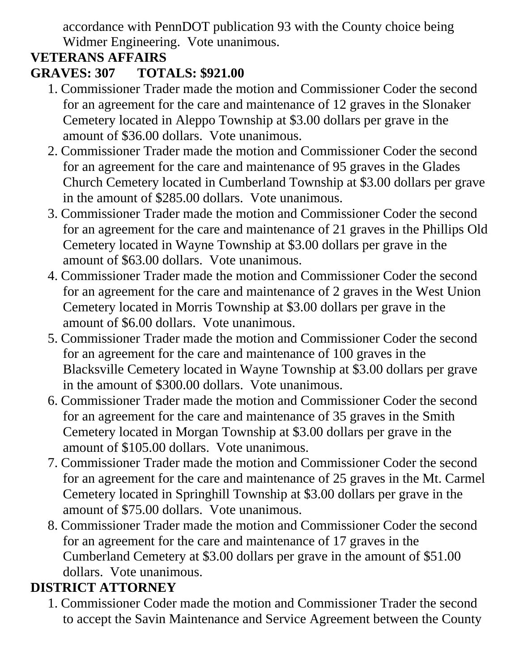accordance with PennDOT publication 93 with the County choice being Widmer Engineering. Vote unanimous.

## **VETERANS AFFAIRS**

### **GRAVES: 307 TOTALS: \$921.00**

- 1. Commissioner Trader made the motion and Commissioner Coder the second for an agreement for the care and maintenance of 12 graves in the Slonaker Cemetery located in Aleppo Township at \$3.00 dollars per grave in the amount of \$36.00 dollars. Vote unanimous.
- 2. Commissioner Trader made the motion and Commissioner Coder the second for an agreement for the care and maintenance of 95 graves in the Glades Church Cemetery located in Cumberland Township at \$3.00 dollars per grave in the amount of \$285.00 dollars. Vote unanimous.
- 3. Commissioner Trader made the motion and Commissioner Coder the second for an agreement for the care and maintenance of 21 graves in the Phillips Old Cemetery located in Wayne Township at \$3.00 dollars per grave in the amount of \$63.00 dollars. Vote unanimous.
- 4. Commissioner Trader made the motion and Commissioner Coder the second for an agreement for the care and maintenance of 2 graves in the West Union Cemetery located in Morris Township at \$3.00 dollars per grave in the amount of \$6.00 dollars. Vote unanimous.
- 5. Commissioner Trader made the motion and Commissioner Coder the second for an agreement for the care and maintenance of 100 graves in the Blacksville Cemetery located in Wayne Township at \$3.00 dollars per grave in the amount of \$300.00 dollars. Vote unanimous.
- 6. Commissioner Trader made the motion and Commissioner Coder the second for an agreement for the care and maintenance of 35 graves in the Smith Cemetery located in Morgan Township at \$3.00 dollars per grave in the amount of \$105.00 dollars. Vote unanimous.
- 7. Commissioner Trader made the motion and Commissioner Coder the second for an agreement for the care and maintenance of 25 graves in the Mt. Carmel Cemetery located in Springhill Township at \$3.00 dollars per grave in the amount of \$75.00 dollars. Vote unanimous.
- 8. Commissioner Trader made the motion and Commissioner Coder the second for an agreement for the care and maintenance of 17 graves in the Cumberland Cemetery at \$3.00 dollars per grave in the amount of \$51.00 dollars. Vote unanimous.

# **DISTRICT ATTORNEY**

1. Commissioner Coder made the motion and Commissioner Trader the second to accept the Savin Maintenance and Service Agreement between the County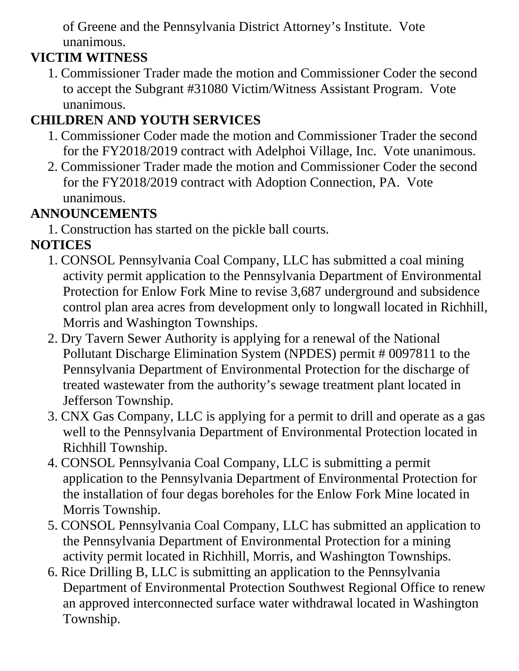of Greene and the Pennsylvania District Attorney's Institute. Vote unanimous.

## **VICTIM WITNESS**

1. Commissioner Trader made the motion and Commissioner Coder the second to accept the Subgrant #31080 Victim/Witness Assistant Program. Vote unanimous.

# **CHILDREN AND YOUTH SERVICES**

- 1. Commissioner Coder made the motion and Commissioner Trader the second for the FY2018/2019 contract with Adelphoi Village, Inc. Vote unanimous.
- 2. Commissioner Trader made the motion and Commissioner Coder the second for the FY2018/2019 contract with Adoption Connection, PA. Vote unanimous.

# **ANNOUNCEMENTS**

1. Construction has started on the pickle ball courts.

# **NOTICES**

- 1. CONSOL Pennsylvania Coal Company, LLC has submitted a coal mining activity permit application to the Pennsylvania Department of Environmental Protection for Enlow Fork Mine to revise 3,687 underground and subsidence control plan area acres from development only to longwall located in Richhill, Morris and Washington Townships.
- 2. Dry Tavern Sewer Authority is applying for a renewal of the National Pollutant Discharge Elimination System (NPDES) permit # 0097811 to the Pennsylvania Department of Environmental Protection for the discharge of treated wastewater from the authority's sewage treatment plant located in Jefferson Township.
- 3. CNX Gas Company, LLC is applying for a permit to drill and operate as a gas well to the Pennsylvania Department of Environmental Protection located in Richhill Township.
- 4. CONSOL Pennsylvania Coal Company, LLC is submitting a permit application to the Pennsylvania Department of Environmental Protection for the installation of four degas boreholes for the Enlow Fork Mine located in Morris Township.
- 5. CONSOL Pennsylvania Coal Company, LLC has submitted an application to the Pennsylvania Department of Environmental Protection for a mining activity permit located in Richhill, Morris, and Washington Townships.
- 6. Rice Drilling B, LLC is submitting an application to the Pennsylvania Department of Environmental Protection Southwest Regional Office to renew an approved interconnected surface water withdrawal located in Washington Township.